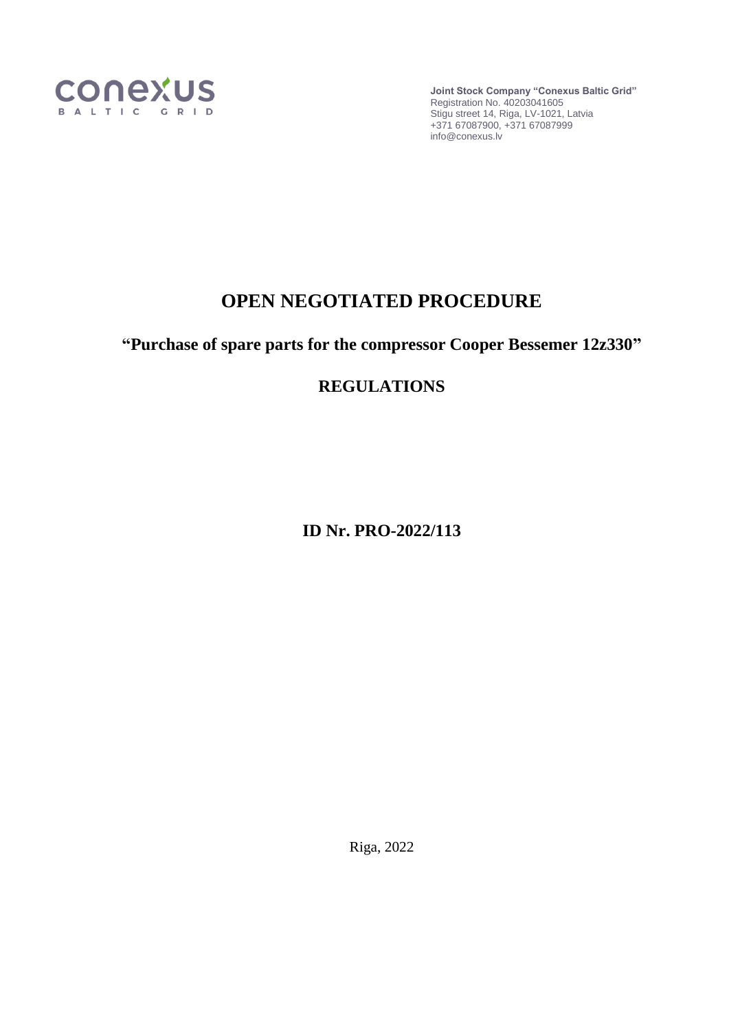

**Joint Stock Company "Conexus Baltic Grid"** Registration No. 40203041605 Stigu street 14, Riga, LV-1021, Latvia +371 67087900, +371 67087999 info@conexus.lv

# **OPEN NEGOTIATED PROCEDURE**

**"Purchase of spare parts for the compressor Cooper Bessemer 12z330"**

# **REGULATIONS**

**ID Nr. PRO-2022/113**

Riga, 2022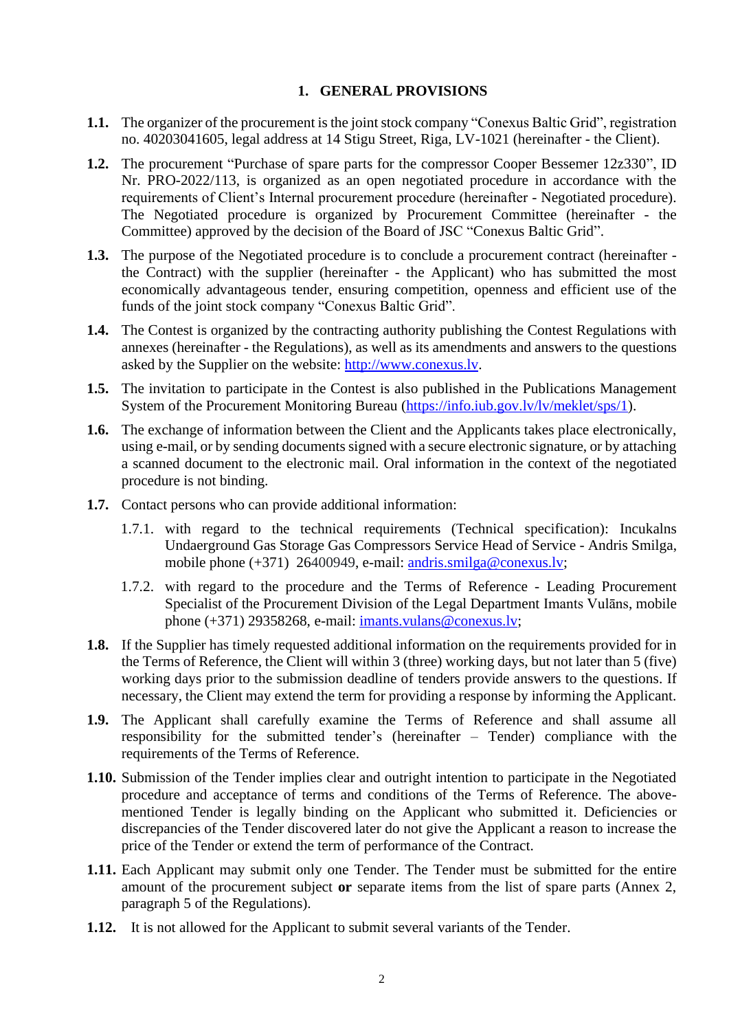#### **1. GENERAL PROVISIONS**

- **1.1.** The organizer of the procurement is the joint stock company "Conexus Baltic Grid", registration no. 40203041605, legal address at 14 Stigu Street, Riga, LV-1021 (hereinafter - the Client).
- **1.2.** The procurement "Purchase of spare parts for the compressor Cooper Bessemer 12z330", ID Nr. PRO-2022/113, is organized as an open negotiated procedure in accordance with the requirements of Client's Internal procurement procedure (hereinafter - Negotiated procedure). The Negotiated procedure is organized by Procurement Committee (hereinafter - the Committee) approved by the decision of the Board of JSC "Conexus Baltic Grid".
- **1.3.** The purpose of the Negotiated procedure is to conclude a procurement contract (hereinafter the Contract) with the supplier (hereinafter - the Applicant) who has submitted the most economically advantageous tender, ensuring competition, openness and efficient use of the funds of the joint stock company "Conexus Baltic Grid".
- **1.4.** The Contest is organized by the contracting authority publishing the Contest Regulations with annexes (hereinafter - the Regulations), as well as its amendments and answers to the questions asked by the Supplier on the website: [http://www.conexus.lv.](http://www.conexus.lv/)
- **1.5.** The invitation to participate in the Contest is also published in the Publications Management System of the Procurement Monitoring Bureau [\(https://info.iub.gov.lv/lv/meklet/sps/1\)](https://info.iub.gov.lv/lv/meklet/sps/1).
- **1.6.** The exchange of information between the Client and the Applicants takes place electronically, using e-mail, or by sending documents signed with a secure electronic signature, or by attaching a scanned document to the electronic mail. Oral information in the context of the negotiated procedure is not binding.
- **1.7.** Contact persons who can provide additional information:
	- 1.7.1. with regard to the technical requirements (Technical specification): Incukalns Undaerground Gas Storage Gas Compressors Service Head of Service - Andris Smilga, mobile phone (+371) 26400949, e-mail: [andris.smilga@conexus.lv;](mailto:andris.smilga@conexus.lv)
	- 1.7.2. with regard to the procedure and the Terms of Reference Leading Procurement Specialist of the Procurement Division of the Legal Department Imants Vulāns, mobile phone (+371) 29358268, e-mail: [imants.vulans@conexus.lv;](mailto:imants.vulans@conexus.lv)
- **1.8.** If the Supplier has timely requested additional information on the requirements provided for in the Terms of Reference, the Client will within 3 (three) working days, but not later than 5 (five) working days prior to the submission deadline of tenders provide answers to the questions. If necessary, the Client may extend the term for providing a response by informing the Applicant.
- **1.9.** The Applicant shall carefully examine the Terms of Reference and shall assume all responsibility for the submitted tender's (hereinafter – Tender) compliance with the requirements of the Terms of Reference.
- **1.10.** Submission of the Tender implies clear and outright intention to participate in the Negotiated procedure and acceptance of terms and conditions of the Terms of Reference. The abovementioned Tender is legally binding on the Applicant who submitted it. Deficiencies or discrepancies of the Tender discovered later do not give the Applicant a reason to increase the price of the Tender or extend the term of performance of the Contract.
- **1.11.** Each Applicant may submit only one Tender. The Tender must be submitted for the entire amount of the procurement subject **or** separate items from the list of spare parts (Annex 2, paragraph 5 of the Regulations).
- **1.12.** It is not allowed for the Applicant to submit several variants of the Tender.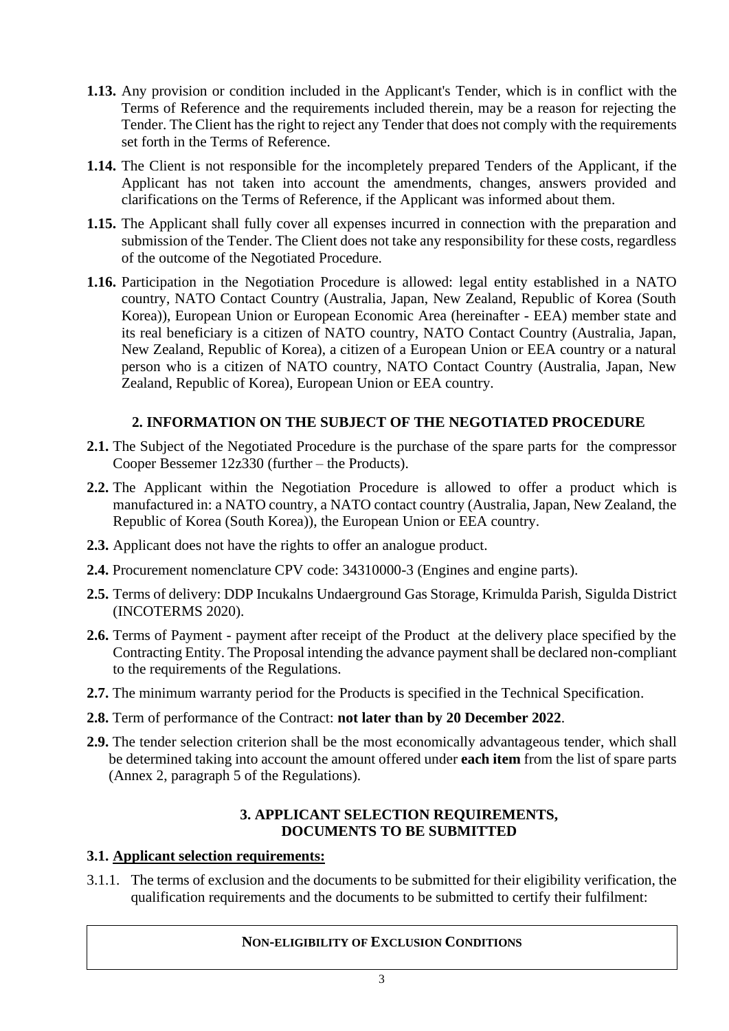- **1.13.** Any provision or condition included in the Applicant's Tender, which is in conflict with the Terms of Reference and the requirements included therein, may be a reason for rejecting the Tender. The Client has the right to reject any Tender that does not comply with the requirements set forth in the Terms of Reference.
- **1.14.** The Client is not responsible for the incompletely prepared Tenders of the Applicant, if the Applicant has not taken into account the amendments, changes, answers provided and clarifications on the Terms of Reference, if the Applicant was informed about them.
- **1.15.** The Applicant shall fully cover all expenses incurred in connection with the preparation and submission of the Tender. The Client does not take any responsibility for these costs, regardless of the outcome of the Negotiated Procedure.
- **1.16.** Participation in the Negotiation Procedure is allowed: legal entity established in a NATO country, NATO Contact Country (Australia, Japan, New Zealand, Republic of Korea (South Korea)), European Union or European Economic Area (hereinafter - EEA) member state and its real beneficiary is a citizen of NATO country, NATO Contact Country (Australia, Japan, New Zealand, Republic of Korea), a citizen of a European Union or EEA country or a natural person who is a citizen of NATO country, NATO Contact Country (Australia, Japan, New Zealand, Republic of Korea), European Union or EEA country.

# **2. INFORMATION ON THE SUBJECT OF THE NEGOTIATED PROCEDURE**

- **2.1.** The Subject of the Negotiated Procedure is the purchase of the spare parts for the compressor Cooper Bessemer 12z330 (further – the Products).
- **2.2.** The Applicant within the Negotiation Procedure is allowed to offer a product which is manufactured in: a NATO country, a NATO contact country (Australia, Japan, New Zealand, the Republic of Korea (South Korea)), the European Union or EEA country.
- **2.3.** Applicant does not have the rights to offer an analogue product.
- **2.4.** Procurement nomenclature CPV code: 34310000-3 (Engines and engine parts).
- **2.5.** Terms of delivery: DDP Incukalns Undaerground Gas Storage, Krimulda Parish, Sigulda District (INCOTERMS 2020).
- **2.6.** Terms of Payment payment after receipt of the Product at the delivery place specified by the Contracting Entity. The Proposal intending the advance payment shall be declared non-compliant to the requirements of the Regulations.
- **2.7.** The minimum warranty period for the Products is specified in the Technical Specification.
- **2.8.** Term of performance of the Contract: **not later than by 20 December 2022**.
- **2.9.** The tender selection criterion shall be the most economically advantageous tender, which shall be determined taking into account the amount offered under **each item** from the list of spare parts (Annex 2, paragraph 5 of the Regulations).

### **3. APPLICANT SELECTION REQUIREMENTS, DOCUMENTS TO BE SUBMITTED**

## **3.1. Applicant selection requirements:**

3.1.1. The terms of exclusion and the documents to be submitted for their eligibility verification, the qualification requirements and the documents to be submitted to certify their fulfilment:

#### **NON-ELIGIBILITY OF EXCLUSION CONDITIONS**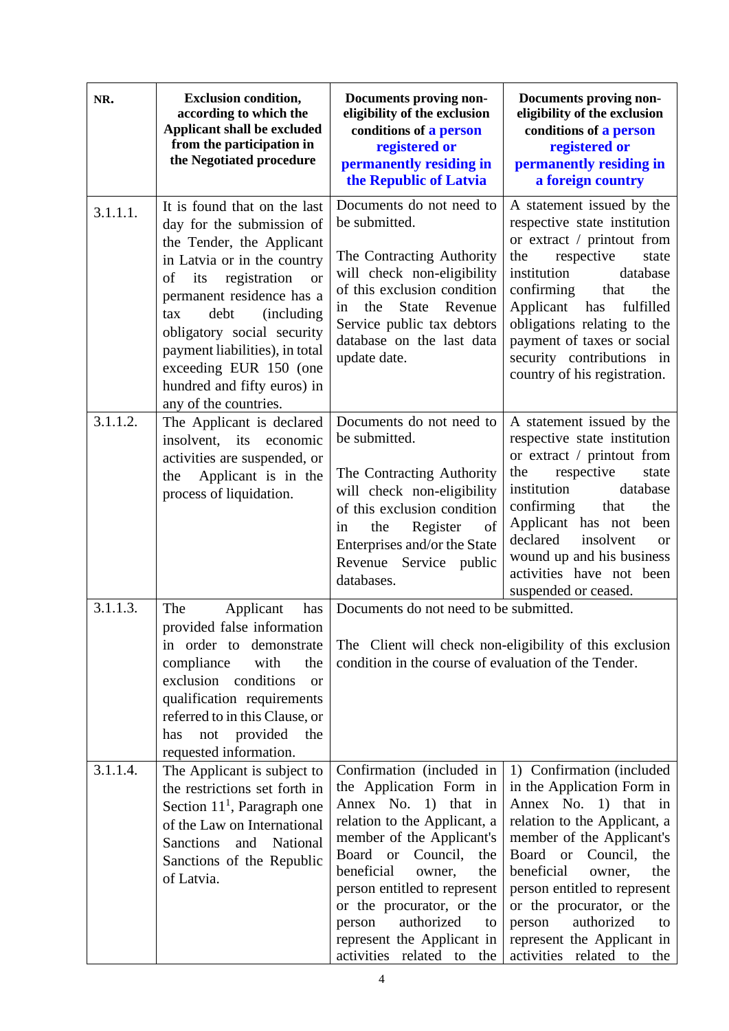| NR.      | <b>Exclusion condition,</b><br>according to which the<br>Applicant shall be excluded<br>from the participation in<br>the Negotiated procedure                                                                                                                                                                                                                                       | Documents proving non-<br>eligibility of the exclusion<br>conditions of a person<br>registered or<br>permanently residing in<br>the Republic of Latvia                                                                                                                                                                                                     | Documents proving non-<br>eligibility of the exclusion<br>conditions of a person<br>registered or<br>permanently residing in<br>a foreign country                                                                                                                                                                                                             |
|----------|-------------------------------------------------------------------------------------------------------------------------------------------------------------------------------------------------------------------------------------------------------------------------------------------------------------------------------------------------------------------------------------|------------------------------------------------------------------------------------------------------------------------------------------------------------------------------------------------------------------------------------------------------------------------------------------------------------------------------------------------------------|---------------------------------------------------------------------------------------------------------------------------------------------------------------------------------------------------------------------------------------------------------------------------------------------------------------------------------------------------------------|
| 3.1.1.1. | It is found that on the last<br>day for the submission of<br>the Tender, the Applicant<br>in Latvia or in the country<br>registration<br>of<br>its<br><b>or</b><br>permanent residence has a<br>debt<br><i>(including)</i><br>tax<br>obligatory social security<br>payment liabilities), in total<br>exceeding EUR 150 (one<br>hundred and fifty euros) in<br>any of the countries. | Documents do not need to<br>be submitted.<br>The Contracting Authority<br>will check non-eligibility<br>of this exclusion condition<br><b>State</b><br>Revenue<br>the<br>in<br>Service public tax debtors<br>database on the last data<br>update date.                                                                                                     | A statement issued by the<br>respective state institution<br>or extract / printout from<br>the<br>respective<br>state<br>institution<br>database<br>confirming<br>that<br>the<br>Applicant has<br>fulfilled<br>obligations relating to the<br>payment of taxes or social<br>security contributions in<br>country of his registration.                         |
| 3.1.1.2. | The Applicant is declared<br>insolvent, its economic<br>activities are suspended, or<br>Applicant is in the<br>the<br>process of liquidation.                                                                                                                                                                                                                                       | Documents do not need to<br>be submitted.<br>The Contracting Authority<br>will check non-eligibility<br>of this exclusion condition<br>the<br>Register<br>of<br>in<br>Enterprises and/or the State<br>Revenue Service public<br>databases.                                                                                                                 | A statement issued by the<br>respective state institution<br>or extract / printout from<br>respective<br>the<br>state<br>institution<br>database<br>confirming<br>that<br>the<br>Applicant has not been<br>insolvent<br>declared<br><b>or</b><br>wound up and his business<br>activities have not been<br>suspended or ceased.                                |
| 3.1.1.3. | The<br>Applicant<br>has<br>provided false information<br>in order to demonstrate<br>compliance<br>with<br>the<br>exclusion conditions<br><b>or</b><br>qualification requirements<br>referred to in this Clause, or<br>not provided<br>the<br>has<br>requested information.                                                                                                          | Documents do not need to be submitted.<br>condition in the course of evaluation of the Tender.                                                                                                                                                                                                                                                             | The Client will check non-eligibility of this exclusion                                                                                                                                                                                                                                                                                                       |
| 3.1.1.4. | The Applicant is subject to<br>the restrictions set forth in<br>Section $111$ , Paragraph one<br>of the Law on International<br><b>Sanctions</b><br>and National<br>Sanctions of the Republic<br>of Latvia.                                                                                                                                                                         | Confirmation (included in<br>the Application Form in<br>Annex No. 1) that in<br>relation to the Applicant, a<br>member of the Applicant's<br>Board or Council,<br>the<br>beneficial<br>owner,<br>the<br>person entitled to represent<br>or the procurator, or the<br>authorized<br>person<br>to<br>represent the Applicant in<br>activities related to the | 1) Confirmation (included<br>in the Application Form in<br>Annex No. 1) that in<br>relation to the Applicant, a<br>member of the Applicant's<br>Board or Council,<br>the<br>beneficial<br>owner,<br>the<br>person entitled to represent<br>or the procurator, or the<br>authorized<br>person<br>to<br>represent the Applicant in<br>activities related to the |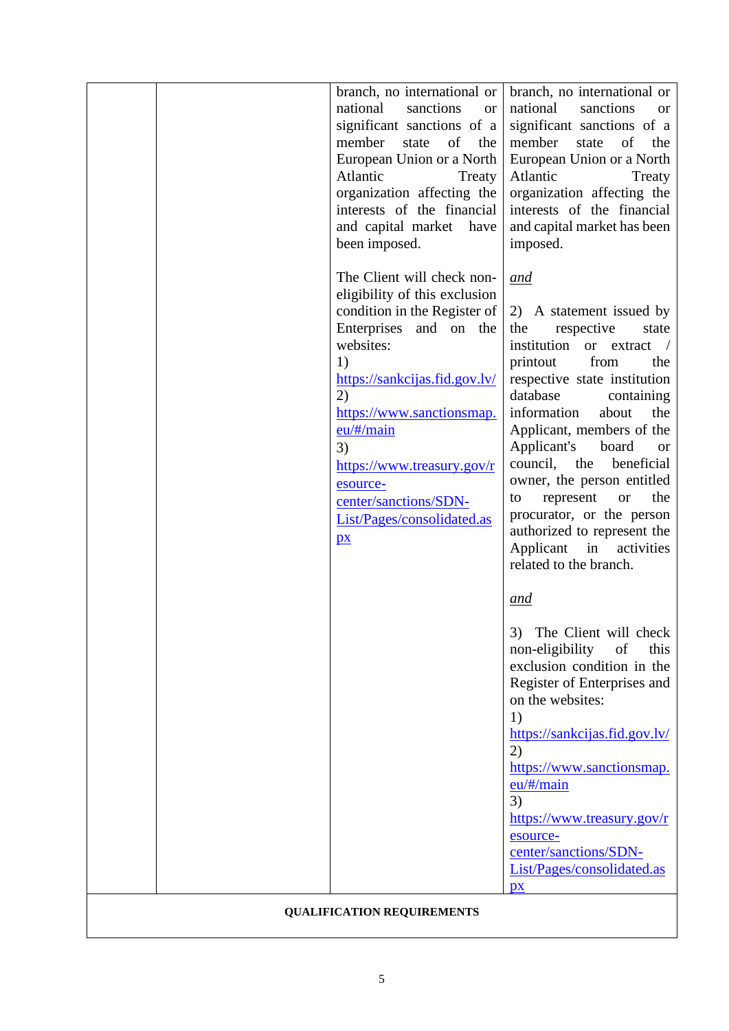|                                   |  | branch, no international or<br>national<br>sanctions<br><b>or</b><br>significant sanctions of a<br>of<br>member<br>the<br>state<br>European Union or a North<br>Atlantic<br>Treaty<br>organization affecting the<br>interests of the financial<br>and capital market have<br>been imposed.                                                           | branch, no international or<br>national<br>sanctions<br><b>or</b><br>significant sanctions of a<br>member<br>of<br>the<br>state<br>European Union or a North<br>Atlantic<br>Treaty<br>organization affecting the<br>interests of the financial<br>and capital market has been<br>imposed.                                                                                                                                                                                                               |  |  |
|-----------------------------------|--|------------------------------------------------------------------------------------------------------------------------------------------------------------------------------------------------------------------------------------------------------------------------------------------------------------------------------------------------------|---------------------------------------------------------------------------------------------------------------------------------------------------------------------------------------------------------------------------------------------------------------------------------------------------------------------------------------------------------------------------------------------------------------------------------------------------------------------------------------------------------|--|--|
|                                   |  | The Client will check non-<br>eligibility of this exclusion<br>condition in the Register of<br>Enterprises and on the<br>websites:<br>1)<br>https://sankcijas.fid.gov.lv/<br>(2)<br>https://www.sanctionsmap.<br>$eu/\#/main$<br>3)<br>https://www.treasury.gov/r<br>esource-<br>center/sanctions/SDN-<br>List/Pages/consolidated.as<br>$\mathbf{p}$ | and<br>2) A statement issued by<br>respective<br>the<br>state<br>institution or extract<br>printout<br>from<br>the<br>respective state institution<br>database<br>containing<br>information<br>about<br>the<br>Applicant, members of the<br>Applicant's<br>board<br><b>or</b><br>council,<br>the<br>beneficial<br>owner, the person entitled<br>the<br>represent<br>to<br><b>or</b><br>procurator, or the person<br>authorized to represent the<br>Applicant in<br>activities<br>related to the branch. |  |  |
|                                   |  |                                                                                                                                                                                                                                                                                                                                                      | <u>and</u><br>3)<br>The Client will check<br>non-eligibility<br>of<br>this<br>exclusion condition in the<br>Register of Enterprises and<br>on the websites:<br>1)<br>https://sankcijas.fid.gov.lv/<br>2)<br>https://www.sanctionsmap.<br>eu/#/main<br>3)<br>https://www.treasury.gov/r<br>esource-<br>center/sanctions/SDN-<br>List/Pages/consolidated.as<br>$\mathbf{p}$                                                                                                                               |  |  |
| <b>QUALIFICATION REQUIREMENTS</b> |  |                                                                                                                                                                                                                                                                                                                                                      |                                                                                                                                                                                                                                                                                                                                                                                                                                                                                                         |  |  |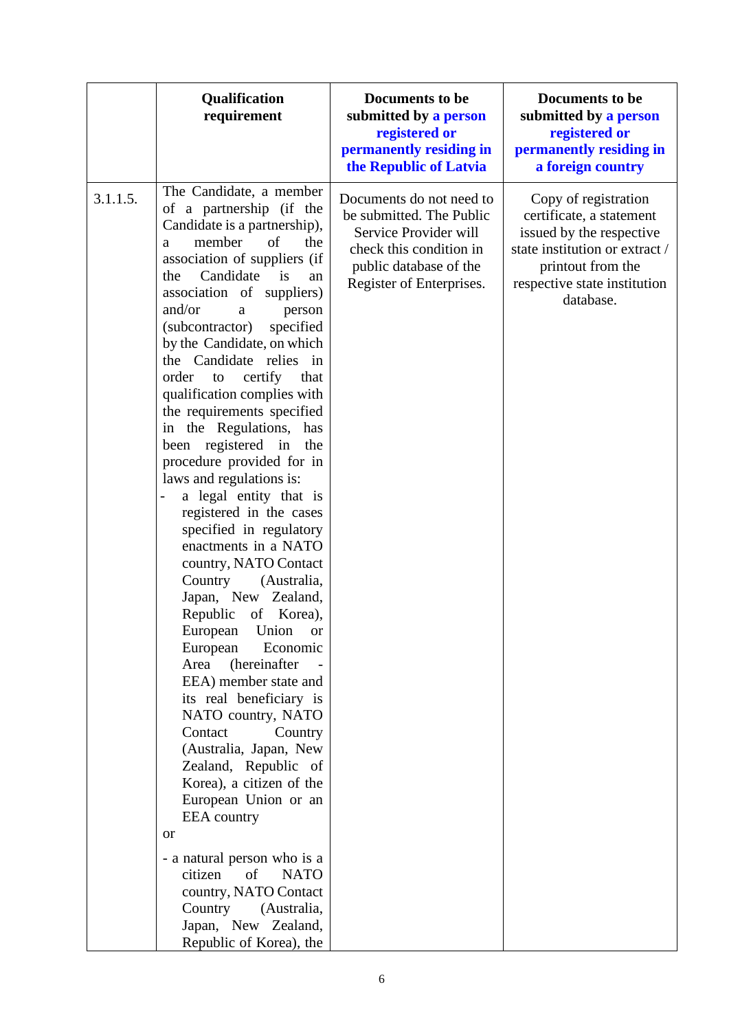|          | Qualification<br>requirement                                                                                                                                                                                                                                                                                                                                                                                                                                                                                                                                                                                                                                                                                                                                                                                                                                                                                                                                                                                                                                                                                                                                                                                                                                       | Documents to be<br>submitted by a person<br>registered or<br>permanently residing in<br>the Republic of Latvia                                                 | Documents to be<br>submitted by a person<br>registered or<br>permanently residing in<br>a foreign country                                                                        |
|----------|--------------------------------------------------------------------------------------------------------------------------------------------------------------------------------------------------------------------------------------------------------------------------------------------------------------------------------------------------------------------------------------------------------------------------------------------------------------------------------------------------------------------------------------------------------------------------------------------------------------------------------------------------------------------------------------------------------------------------------------------------------------------------------------------------------------------------------------------------------------------------------------------------------------------------------------------------------------------------------------------------------------------------------------------------------------------------------------------------------------------------------------------------------------------------------------------------------------------------------------------------------------------|----------------------------------------------------------------------------------------------------------------------------------------------------------------|----------------------------------------------------------------------------------------------------------------------------------------------------------------------------------|
| 3.1.1.5. | The Candidate, a member<br>of a partnership (if the<br>Candidate is a partnership),<br>member<br>of<br>the<br>a<br>association of suppliers (if<br>Candidate<br>the<br>is<br>an<br>association of suppliers)<br>and/or<br>person<br>a<br>(subcontractor)<br>specified<br>by the Candidate, on which<br>the Candidate relies in<br>order<br>certify<br>that<br>to<br>qualification complies with<br>the requirements specified<br>in the Regulations, has<br>been registered in<br>the<br>procedure provided for in<br>laws and regulations is:<br>a legal entity that is<br>$\overline{\phantom{0}}$<br>registered in the cases<br>specified in regulatory<br>enactments in a NATO<br>country, NATO Contact<br>Country<br>(Australia,<br>Japan, New Zealand,<br>Republic of Korea),<br>European Union or<br>European<br>Economic<br>(hereinafter<br>Area<br>EEA) member state and<br>its real beneficiary is<br>NATO country, NATO<br>Contact<br>Country<br>(Australia, Japan, New<br>Zealand, Republic of<br>Korea), a citizen of the<br>European Union or an<br><b>EEA</b> country<br><b>or</b><br>- a natural person who is a<br>citizen<br>of<br><b>NATO</b><br>country, NATO Contact<br>Country (Australia,<br>Japan, New Zealand,<br>Republic of Korea), the | Documents do not need to<br>be submitted. The Public<br>Service Provider will<br>check this condition in<br>public database of the<br>Register of Enterprises. | Copy of registration<br>certificate, a statement<br>issued by the respective<br>state institution or extract /<br>printout from the<br>respective state institution<br>database. |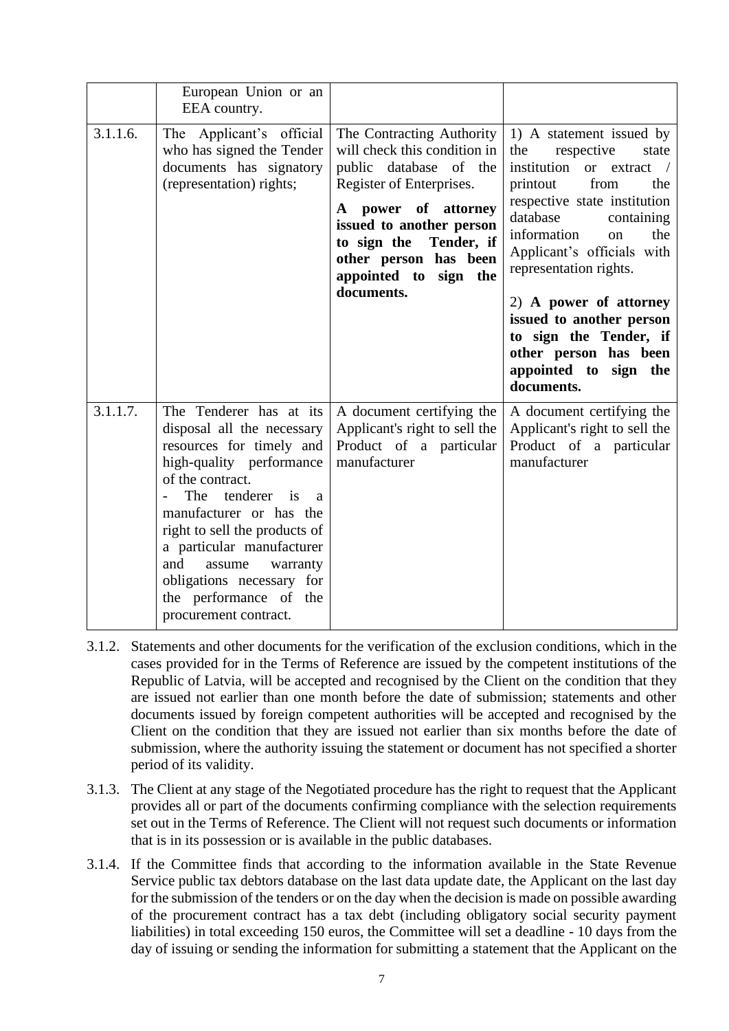| 3.1.1.6. | European Union or an<br>EEA country.<br>The Applicant's official<br>who has signed the Tender<br>documents has signatory<br>(representation) rights;                                                                                                                                                                                                                         | The Contracting Authority<br>will check this condition in<br>public database of the<br>Register of Enterprises.<br>power of attorney<br>A<br>issued to another person | 1) A statement issued by<br>respective<br>the<br>state<br>institution<br>or extract<br>printout<br>from<br>the<br>respective state institution<br>database<br>containing                                                         |
|----------|------------------------------------------------------------------------------------------------------------------------------------------------------------------------------------------------------------------------------------------------------------------------------------------------------------------------------------------------------------------------------|-----------------------------------------------------------------------------------------------------------------------------------------------------------------------|----------------------------------------------------------------------------------------------------------------------------------------------------------------------------------------------------------------------------------|
|          |                                                                                                                                                                                                                                                                                                                                                                              | to sign the<br>Tender, if<br>other person has been<br>appointed to sign the<br>documents.                                                                             | information<br>the<br>on<br>Applicant's officials with<br>representation rights.<br>2) A power of attorney<br>issued to another person<br>to sign the Tender, if<br>other person has been<br>appointed to sign the<br>documents. |
| 3.1.1.7. | The Tenderer has at its<br>disposal all the necessary<br>resources for timely and<br>high-quality performance<br>of the contract.<br>The tenderer is<br>$\overline{a}$<br>manufacturer or has the<br>right to sell the products of<br>a particular manufacturer<br>and<br>assume<br>warranty<br>obligations necessary for<br>the performance of the<br>procurement contract. | A document certifying the<br>Applicant's right to sell the<br>Product of a particular<br>manufacturer                                                                 | A document certifying the<br>Applicant's right to sell the<br>Product of a particular<br>manufacturer                                                                                                                            |

- 3.1.2. Statements and other documents for the verification of the exclusion conditions, which in the cases provided for in the Terms of Reference are issued by the competent institutions of the Republic of Latvia, will be accepted and recognised by the Client on the condition that they are issued not earlier than one month before the date of submission; statements and other documents issued by foreign competent authorities will be accepted and recognised by the Client on the condition that they are issued not earlier than six months before the date of submission, where the authority issuing the statement or document has not specified a shorter period of its validity.
- 3.1.3. The Client at any stage of the Negotiated procedure has the right to request that the Applicant provides all or part of the documents confirming compliance with the selection requirements set out in the Terms of Reference. The Client will not request such documents or information that is in its possession or is available in the public databases.
- 3.1.4. If the Committee finds that according to the information available in the State Revenue Service public tax debtors database on the last data update date, the Applicant on the last day for the submission of the tenders or on the day when the decision is made on possible awarding of the procurement contract has a tax debt (including obligatory social security payment liabilities) in total exceeding 150 euros, the Committee will set a deadline - 10 days from the day of issuing or sending the information for submitting a statement that the Applicant on the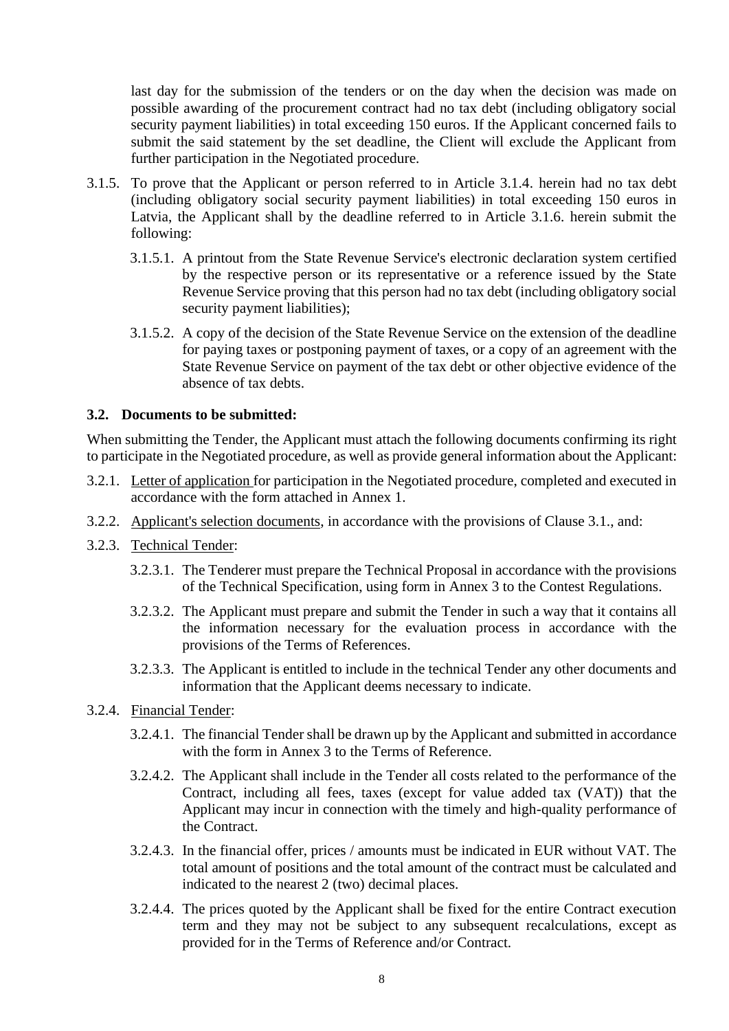last day for the submission of the tenders or on the day when the decision was made on possible awarding of the procurement contract had no tax debt (including obligatory social security payment liabilities) in total exceeding 150 euros. If the Applicant concerned fails to submit the said statement by the set deadline, the Client will exclude the Applicant from further participation in the Negotiated procedure.

- 3.1.5. To prove that the Applicant or person referred to in Article 3.1.4. herein had no tax debt (including obligatory social security payment liabilities) in total exceeding 150 euros in Latvia, the Applicant shall by the deadline referred to in Article 3.1.6. herein submit the following:
	- 3.1.5.1. A printout from the State Revenue Service's electronic declaration system certified by the respective person or its representative or a reference issued by the State Revenue Service proving that this person had no tax debt (including obligatory social security payment liabilities);
	- 3.1.5.2. A copy of the decision of the State Revenue Service on the extension of the deadline for paying taxes or postponing payment of taxes, or a copy of an agreement with the State Revenue Service on payment of the tax debt or other objective evidence of the absence of tax debts.

### **3.2. Documents to be submitted:**

When submitting the Tender, the Applicant must attach the following documents confirming its right to participate in the Negotiated procedure, as well as provide general information about the Applicant:

- 3.2.1. Letter of application for participation in the Negotiated procedure, completed and executed in accordance with the form attached in Annex 1.
- 3.2.2. Applicant's selection documents, in accordance with the provisions of Clause 3.1., and:
- 3.2.3. Technical Tender:
	- 3.2.3.1. The Tenderer must prepare the Technical Proposal in accordance with the provisions of the Technical Specification, using form in Annex 3 to the Contest Regulations.
	- 3.2.3.2. The Applicant must prepare and submit the Tender in such a way that it contains all the information necessary for the evaluation process in accordance with the provisions of the Terms of References.
	- 3.2.3.3. The Applicant is entitled to include in the technical Tender any other documents and information that the Applicant deems necessary to indicate.
- 3.2.4. Financial Tender:
	- 3.2.4.1. The financial Tender shall be drawn up by the Applicant and submitted in accordance with the form in Annex 3 to the Terms of Reference.
	- 3.2.4.2. The Applicant shall include in the Tender all costs related to the performance of the Contract, including all fees, taxes (except for value added tax (VAT)) that the Applicant may incur in connection with the timely and high-quality performance of the Contract.
	- 3.2.4.3. In the financial offer, prices / amounts must be indicated in EUR without VAT. The total amount of positions and the total amount of the contract must be calculated and indicated to the nearest 2 (two) decimal places.
	- 3.2.4.4. The prices quoted by the Applicant shall be fixed for the entire Contract execution term and they may not be subject to any subsequent recalculations, except as provided for in the Terms of Reference and/or Contract.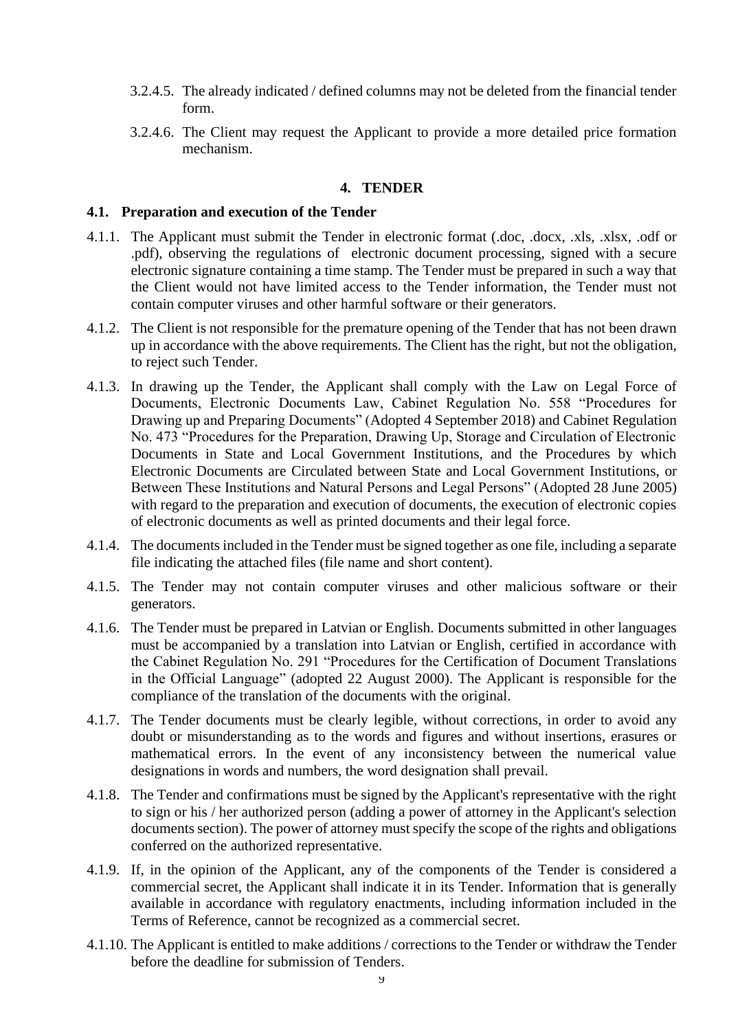- 3.2.4.5. The already indicated / defined columns may not be deleted from the financial tender form.
- 3.2.4.6. The Client may request the Applicant to provide a more detailed price formation mechanism.

#### **4. TENDER**

#### **4.1. Preparation and execution of the Tender**

- 4.1.1. The Applicant must submit the Tender in electronic format (.doc, .docx, .xls, .xlsx, .odf or .pdf), observing the regulations of electronic document processing, signed with a secure electronic signature containing a time stamp. The Tender must be prepared in such a way that the Client would not have limited access to the Tender information, the Tender must not contain computer viruses and other harmful software or their generators.
- 4.1.2. The Client is not responsible for the premature opening of the Tender that has not been drawn up in accordance with the above requirements. The Client has the right, but not the obligation, to reject such Tender.
- 4.1.3. In drawing up the Tender, the Applicant shall comply with the Law on Legal Force of Documents, Electronic Documents Law, Cabinet Regulation No. 558 "Procedures for Drawing up and Preparing Documents" (Adopted 4 September 2018) and Cabinet Regulation No. 473 "Procedures for the Preparation, Drawing Up, Storage and Circulation of Electronic Documents in State and Local Government Institutions, and the Procedures by which Electronic Documents are Circulated between State and Local Government Institutions, or Between These Institutions and Natural Persons and Legal Persons" (Adopted 28 June 2005) with regard to the preparation and execution of documents, the execution of electronic copies of electronic documents as well as printed documents and their legal force.
- 4.1.4. The documents included in the Tender must be signed together as one file, including a separate file indicating the attached files (file name and short content).
- 4.1.5. The Tender may not contain computer viruses and other malicious software or their generators.
- 4.1.6. The Tender must be prepared in Latvian or English. Documents submitted in other languages must be accompanied by a translation into Latvian or English, certified in accordance with the Cabinet Regulation No. 291 "Procedures for the Certification of Document Translations in the Official Language" (adopted 22 August 2000). The Applicant is responsible for the compliance of the translation of the documents with the original.
- 4.1.7. The Tender documents must be clearly legible, without corrections, in order to avoid any doubt or misunderstanding as to the words and figures and without insertions, erasures or mathematical errors. In the event of any inconsistency between the numerical value designations in words and numbers, the word designation shall prevail.
- 4.1.8. The Tender and confirmations must be signed by the Applicant's representative with the right to sign or his / her authorized person (adding a power of attorney in the Applicant's selection documents section). The power of attorney must specify the scope of the rights and obligations conferred on the authorized representative.
- 4.1.9. If, in the opinion of the Applicant, any of the components of the Tender is considered a commercial secret, the Applicant shall indicate it in its Tender. Information that is generally available in accordance with regulatory enactments, including information included in the Terms of Reference, cannot be recognized as a commercial secret.
- 4.1.10. The Applicant is entitled to make additions / corrections to the Tender or withdraw the Tender before the deadline for submission of Tenders.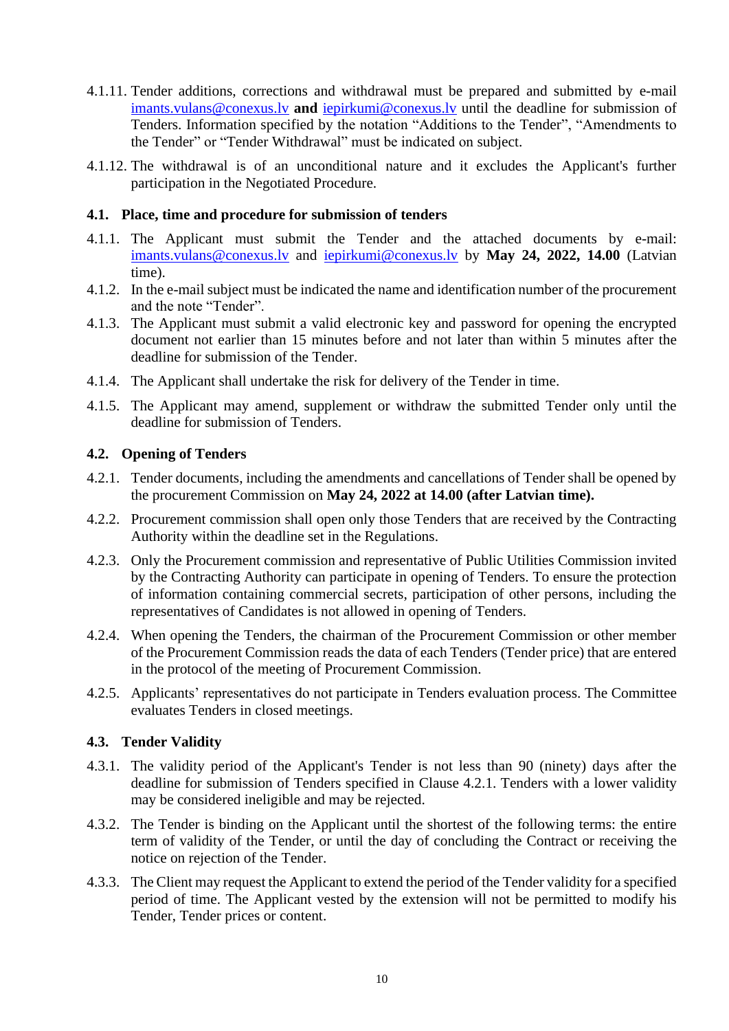- 4.1.11. Tender additions, corrections and withdrawal must be prepared and submitted by e-mail [imants.vulans@conexus.lv](mailto:imants.vulans@conexus.lv) **and** [iepirkumi@conexus.lv](mailto:iepirkumi@conexus.lv) until the deadline for submission of Tenders. Information specified by the notation "Additions to the Tender", "Amendments to the Tender" or "Tender Withdrawal" must be indicated on subject.
- 4.1.12. The withdrawal is of an unconditional nature and it excludes the Applicant's further participation in the Negotiated Procedure.

## **4.1. Place, time and procedure for submission of tenders**

- 4.1.1. The Applicant must submit the Tender and the attached documents by e-mail: [imants.vulans@conexus.lv](mailto:imants.vulans@conexus.lv) and [iepirkumi@conexus.lv](mailto:iepirkumi@conexus.lv) by **May 24, 2022, 14.00** (Latvian time).
- 4.1.2. In the e-mail subject must be indicated the name and identification number of the procurement and the note "Tender".
- 4.1.3. The Applicant must submit a valid electronic key and password for opening the encrypted document not earlier than 15 minutes before and not later than within 5 minutes after the deadline for submission of the Tender.
- 4.1.4. The Applicant shall undertake the risk for delivery of the Tender in time.
- 4.1.5. The Applicant may amend, supplement or withdraw the submitted Tender only until the deadline for submission of Tenders.

### **4.2. Opening of Tenders**

- 4.2.1. Tender documents, including the amendments and cancellations of Tender shall be opened by the procurement Commission on **May 24, 2022 at 14.00 (after Latvian time).**
- 4.2.2. Procurement commission shall open only those Tenders that are received by the Contracting Authority within the deadline set in the Regulations.
- 4.2.3. Only the Procurement commission and representative of Public Utilities Commission invited by the Contracting Authority can participate in opening of Tenders. To ensure the protection of information containing commercial secrets, participation of other persons, including the representatives of Candidates is not allowed in opening of Tenders.
- 4.2.4. When opening the Tenders, the chairman of the Procurement Commission or other member of the Procurement Commission reads the data of each Tenders (Tender price) that are entered in the protocol of the meeting of Procurement Commission.
- 4.2.5. Applicants' representatives do not participate in Tenders evaluation process. The Committee evaluates Tenders in closed meetings.

#### **4.3. Tender Validity**

- 4.3.1. The validity period of the Applicant's Tender is not less than 90 (ninety) days after the deadline for submission of Tenders specified in Clause 4.2.1. Tenders with a lower validity may be considered ineligible and may be rejected.
- 4.3.2. The Tender is binding on the Applicant until the shortest of the following terms: the entire term of validity of the Tender, or until the day of concluding the Contract or receiving the notice on rejection of the Tender.
- 4.3.3. The Client may request the Applicant to extend the period of the Tender validity for a specified period of time. The Applicant vested by the extension will not be permitted to modify his Tender, Tender prices or content.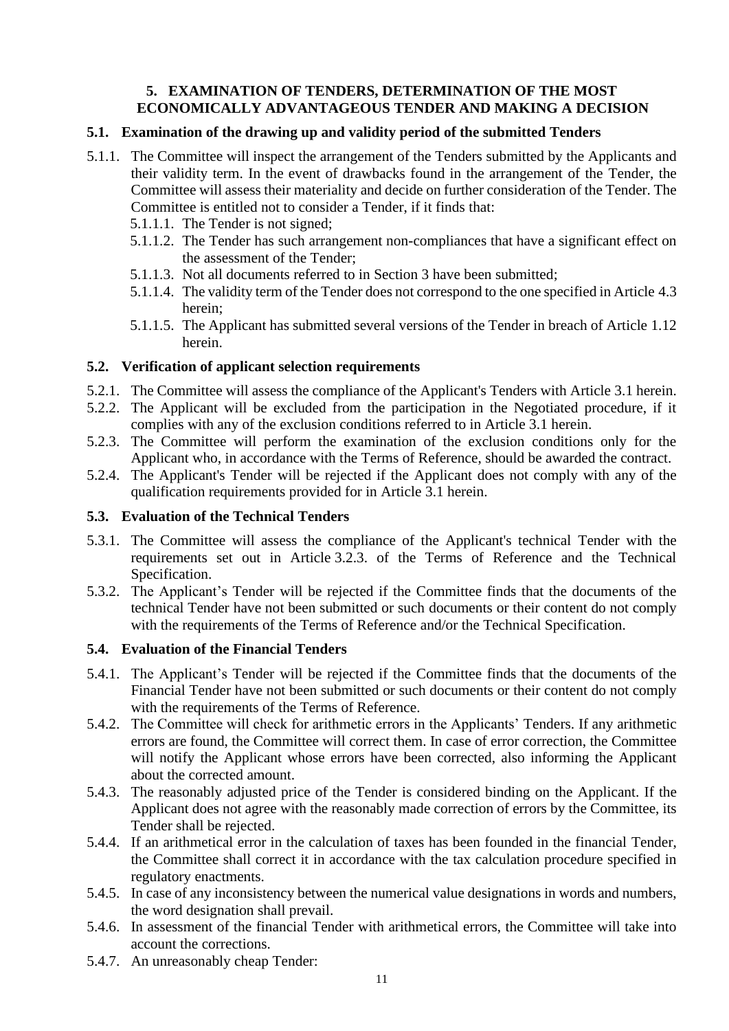## **5. EXAMINATION OF TENDERS, DETERMINATION OF THE MOST ECONOMICALLY ADVANTAGEOUS TENDER AND MAKING A DECISION**

## **5.1. Examination of the drawing up and validity period of the submitted Tenders**

- 5.1.1. The Committee will inspect the arrangement of the Tenders submitted by the Applicants and their validity term. In the event of drawbacks found in the arrangement of the Tender, the Committee will assess their materiality and decide on further consideration of the Tender. The Committee is entitled not to consider a Tender, if it finds that:
	- 5.1.1.1. The Tender is not signed;
	- 5.1.1.2. The Tender has such arrangement non-compliances that have a significant effect on the assessment of the Tender;
	- 5.1.1.3. Not all documents referred to in Section 3 have been submitted;
	- 5.1.1.4. The validity term of the Tender does not correspond to the one specified in Article 4.3 herein;
	- 5.1.1.5. The Applicant has submitted several versions of the Tender in breach of Article 1.12 herein.

### **5.2. Verification of applicant selection requirements**

- 5.2.1. The Committee will assess the compliance of the Applicant's Tenders with Article 3.1 herein.
- 5.2.2. The Applicant will be excluded from the participation in the Negotiated procedure, if it complies with any of the exclusion conditions referred to in Article 3.1 herein.
- 5.2.3. The Committee will perform the examination of the exclusion conditions only for the Applicant who, in accordance with the Terms of Reference, should be awarded the contract.
- 5.2.4. The Applicant's Tender will be rejected if the Applicant does not comply with any of the qualification requirements provided for in Article 3.1 herein.

#### **5.3. Evaluation of the Technical Tenders**

- 5.3.1. The Committee will assess the compliance of the Applicant's technical Tender with the requirements set out in Article 3.2.3. of the Terms of Reference and the Technical Specification.
- 5.3.2. The Applicant's Tender will be rejected if the Committee finds that the documents of the technical Tender have not been submitted or such documents or their content do not comply with the requirements of the Terms of Reference and/or the Technical Specification.

## **5.4. Evaluation of the Financial Tenders**

- 5.4.1. The Applicant's Tender will be rejected if the Committee finds that the documents of the Financial Tender have not been submitted or such documents or their content do not comply with the requirements of the Terms of Reference.
- 5.4.2. The Committee will check for arithmetic errors in the Applicants' Tenders. If any arithmetic errors are found, the Committee will correct them. In case of error correction, the Committee will notify the Applicant whose errors have been corrected, also informing the Applicant about the corrected amount.
- 5.4.3. The reasonably adjusted price of the Tender is considered binding on the Applicant. If the Applicant does not agree with the reasonably made correction of errors by the Committee, its Tender shall be rejected.
- 5.4.4. If an arithmetical error in the calculation of taxes has been founded in the financial Tender, the Committee shall correct it in accordance with the tax calculation procedure specified in regulatory enactments.
- 5.4.5. In case of any inconsistency between the numerical value designations in words and numbers, the word designation shall prevail.
- 5.4.6. In assessment of the financial Tender with arithmetical errors, the Committee will take into account the corrections.
- 5.4.7. An unreasonably cheap Tender: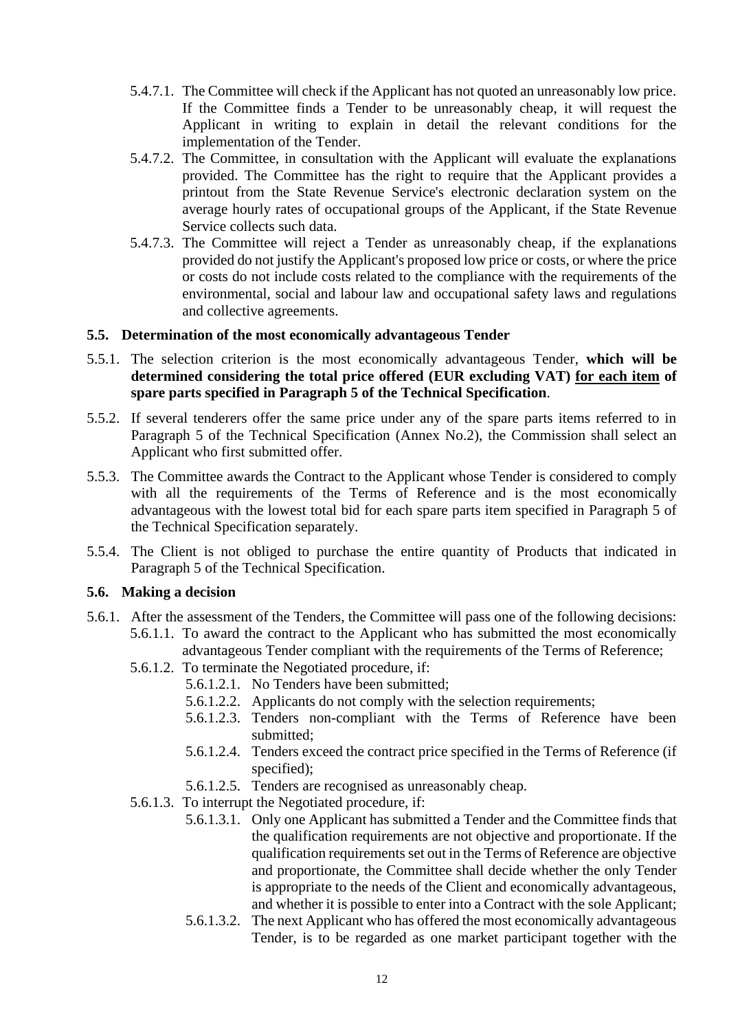- 5.4.7.1. The Committee will check if the Applicant has not quoted an unreasonably low price. If the Committee finds a Tender to be unreasonably cheap, it will request the Applicant in writing to explain in detail the relevant conditions for the implementation of the Tender.
- 5.4.7.2. The Committee, in consultation with the Applicant will evaluate the explanations provided. The Committee has the right to require that the Applicant provides a printout from the State Revenue Service's electronic declaration system on the average hourly rates of occupational groups of the Applicant, if the State Revenue Service collects such data.
- 5.4.7.3. The Committee will reject a Tender as unreasonably cheap, if the explanations provided do not justify the Applicant's proposed low price or costs, or where the price or costs do not include costs related to the compliance with the requirements of the environmental, social and labour law and occupational safety laws and regulations and collective agreements.

### **5.5. Determination of the most economically advantageous Tender**

- 5.5.1. The selection criterion is the most economically advantageous Tender, **which will be determined considering the total price offered (EUR excluding VAT) for each item of spare parts specified in Paragraph 5 of the Technical Specification**.
- 5.5.2. If several tenderers offer the same price under any of the spare parts items referred to in Paragraph 5 of the Technical Specification (Annex No.2), the Commission shall select an Applicant who first submitted offer.
- 5.5.3. The Committee awards the Contract to the Applicant whose Tender is considered to comply with all the requirements of the Terms of Reference and is the most economically advantageous with the lowest total bid for each spare parts item specified in Paragraph 5 of the Technical Specification separately.
- 5.5.4. The Client is not obliged to purchase the entire quantity of Products that indicated in Paragraph 5 of the Technical Specification.

#### **5.6. Making a decision**

- 5.6.1. After the assessment of the Tenders, the Committee will pass one of the following decisions: 5.6.1.1. To award the contract to the Applicant who has submitted the most economically advantageous Tender compliant with the requirements of the Terms of Reference;
	- 5.6.1.2. To terminate the Negotiated procedure, if:
		- 5.6.1.2.1. No Tenders have been submitted;
		- 5.6.1.2.2. Applicants do not comply with the selection requirements;
		- 5.6.1.2.3. Tenders non-compliant with the Terms of Reference have been submitted;
		- 5.6.1.2.4. Tenders exceed the contract price specified in the Terms of Reference (if specified);
		- 5.6.1.2.5. Tenders are recognised as unreasonably cheap.
	- 5.6.1.3. To interrupt the Negotiated procedure, if:
		- 5.6.1.3.1. Only one Applicant has submitted a Tender and the Committee finds that the qualification requirements are not objective and proportionate. If the qualification requirements set out in the Terms of Reference are objective and proportionate, the Committee shall decide whether the only Tender is appropriate to the needs of the Client and economically advantageous, and whether it is possible to enter into a Contract with the sole Applicant;
		- 5.6.1.3.2. The next Applicant who has offered the most economically advantageous Tender, is to be regarded as one market participant together with the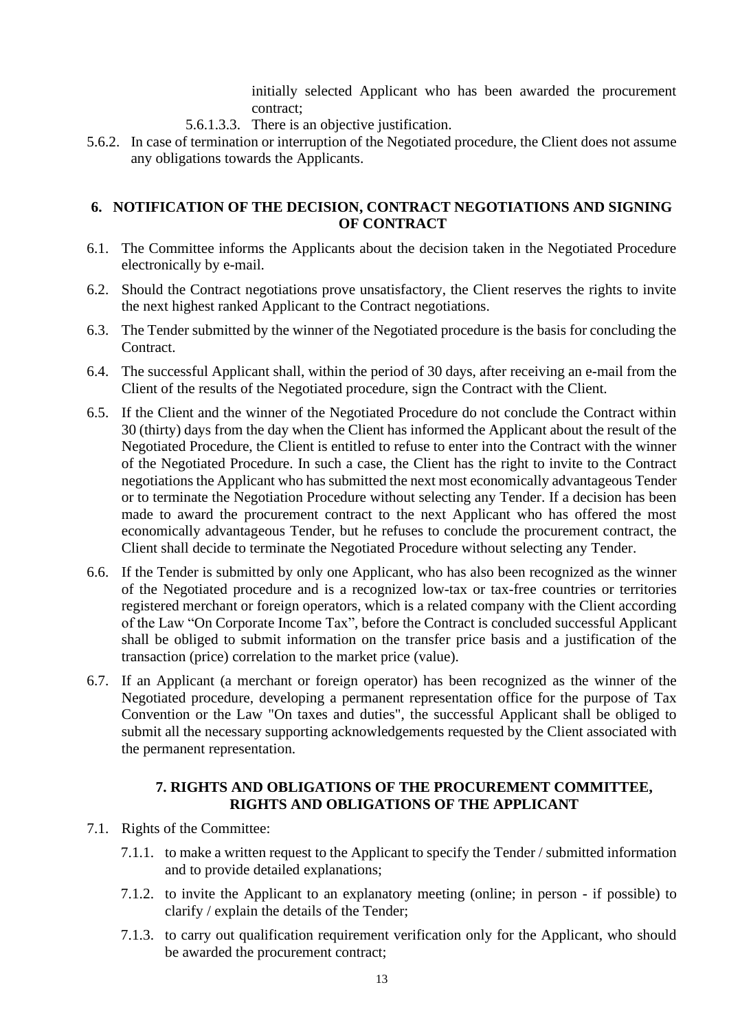initially selected Applicant who has been awarded the procurement contract;

- 5.6.1.3.3. There is an objective justification.
- 5.6.2. In case of termination or interruption of the Negotiated procedure, the Client does not assume any obligations towards the Applicants.

## **6. NOTIFICATION OF THE DECISION, CONTRACT NEGOTIATIONS AND SIGNING OF CONTRACT**

- 6.1. The Committee informs the Applicants about the decision taken in the Negotiated Procedure electronically by e-mail.
- 6.2. Should the Contract negotiations prove unsatisfactory, the Client reserves the rights to invite the next highest ranked Applicant to the Contract negotiations.
- 6.3. The Tender submitted by the winner of the Negotiated procedure is the basis for concluding the Contract.
- 6.4. The successful Applicant shall, within the period of 30 days, after receiving an e-mail from the Client of the results of the Negotiated procedure, sign the Contract with the Client.
- 6.5. If the Client and the winner of the Negotiated Procedure do not conclude the Contract within 30 (thirty) days from the day when the Client has informed the Applicant about the result of the Negotiated Procedure, the Client is entitled to refuse to enter into the Contract with the winner of the Negotiated Procedure. In such a case, the Client has the right to invite to the Contract negotiations the Applicant who has submitted the next most economically advantageous Tender or to terminate the Negotiation Procedure without selecting any Tender. If a decision has been made to award the procurement contract to the next Applicant who has offered the most economically advantageous Tender, but he refuses to conclude the procurement contract, the Client shall decide to terminate the Negotiated Procedure without selecting any Tender.
- 6.6. If the Tender is submitted by only one Applicant, who has also been recognized as the winner of the Negotiated procedure and is a recognized low-tax or tax-free countries or territories registered merchant or foreign operators, which is a related company with the Client according of the Law "On Corporate Income Tax", before the Contract is concluded successful Applicant shall be obliged to submit information on the transfer price basis and a justification of the transaction (price) correlation to the market price (value).
- 6.7. If an Applicant (a merchant or foreign operator) has been recognized as the winner of the Negotiated procedure, developing a permanent representation office for the purpose of Tax Convention or the Law "On taxes and duties", the successful Applicant shall be obliged to submit all the necessary supporting acknowledgements requested by the Client associated with the permanent representation.

## **7. RIGHTS AND OBLIGATIONS OF THE PROCUREMENT COMMITTEE, RIGHTS AND OBLIGATIONS OF THE APPLICANT**

- 7.1. Rights of the Committee:
	- 7.1.1. to make a written request to the Applicant to specify the Tender / submitted information and to provide detailed explanations;
	- 7.1.2. to invite the Applicant to an explanatory meeting (online; in person if possible) to clarify / explain the details of the Tender;
	- 7.1.3. to carry out qualification requirement verification only for the Applicant, who should be awarded the procurement contract;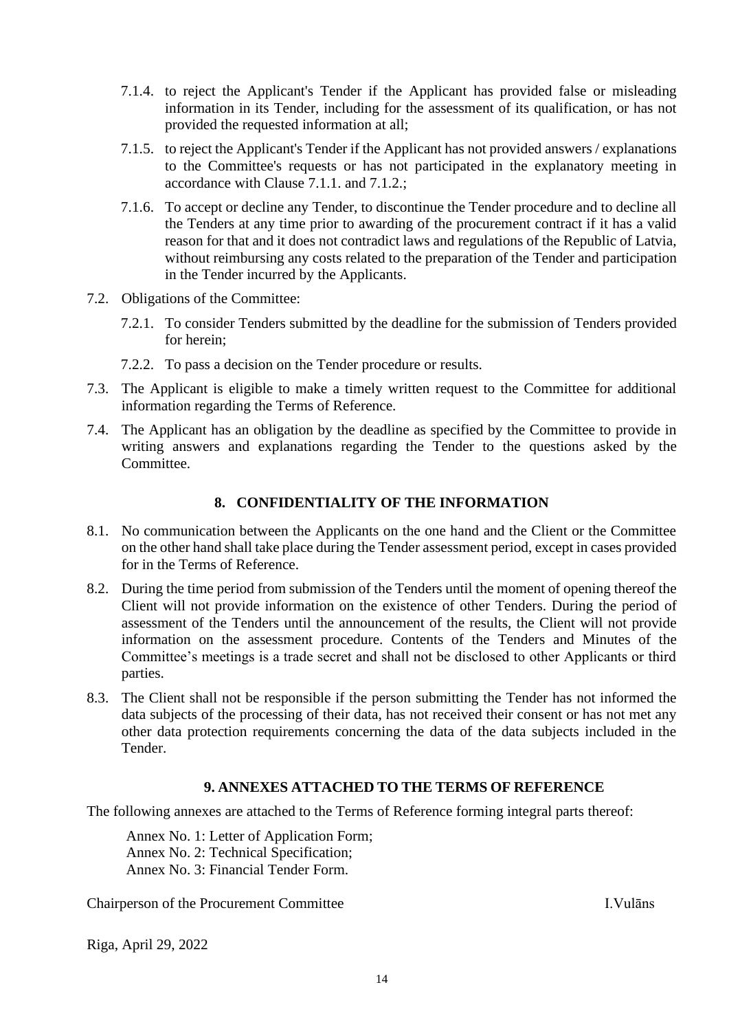- 7.1.4. to reject the Applicant's Tender if the Applicant has provided false or misleading information in its Tender, including for the assessment of its qualification, or has not provided the requested information at all;
- 7.1.5. to reject the Applicant's Tender if the Applicant has not provided answers / explanations to the Committee's requests or has not participated in the explanatory meeting in accordance with Clause 7.1.1. and 7.1.2.;
- 7.1.6. To accept or decline any Tender, to discontinue the Tender procedure and to decline all the Tenders at any time prior to awarding of the procurement contract if it has a valid reason for that and it does not contradict laws and regulations of the Republic of Latvia, without reimbursing any costs related to the preparation of the Tender and participation in the Tender incurred by the Applicants.
- 7.2. Obligations of the Committee:
	- 7.2.1. To consider Tenders submitted by the deadline for the submission of Tenders provided for herein;
	- 7.2.2. To pass a decision on the Tender procedure or results.
- 7.3. The Applicant is eligible to make a timely written request to the Committee for additional information regarding the Terms of Reference.
- 7.4. The Applicant has an obligation by the deadline as specified by the Committee to provide in writing answers and explanations regarding the Tender to the questions asked by the Committee.

#### **8. CONFIDENTIALITY OF THE INFORMATION**

- 8.1. No communication between the Applicants on the one hand and the Client or the Committee on the other hand shall take place during the Tender assessment period, except in cases provided for in the Terms of Reference.
- 8.2. During the time period from submission of the Tenders until the moment of opening thereof the Client will not provide information on the existence of other Tenders. During the period of assessment of the Tenders until the announcement of the results, the Client will not provide information on the assessment procedure. Contents of the Tenders and Minutes of the Committee's meetings is a trade secret and shall not be disclosed to other Applicants or third parties.
- 8.3. The Client shall not be responsible if the person submitting the Tender has not informed the data subjects of the processing of their data, has not received their consent or has not met any other data protection requirements concerning the data of the data subjects included in the Tender.

#### **9. ANNEXES ATTACHED TO THE TERMS OF REFERENCE**

The following annexes are attached to the Terms of Reference forming integral parts thereof:

Annex No. 1: Letter of Application Form; Annex No. 2: Technical Specification; Annex No. 3: Financial Tender Form.

Chairperson of the Procurement Committee I.Vulāns

Riga, April 29, 2022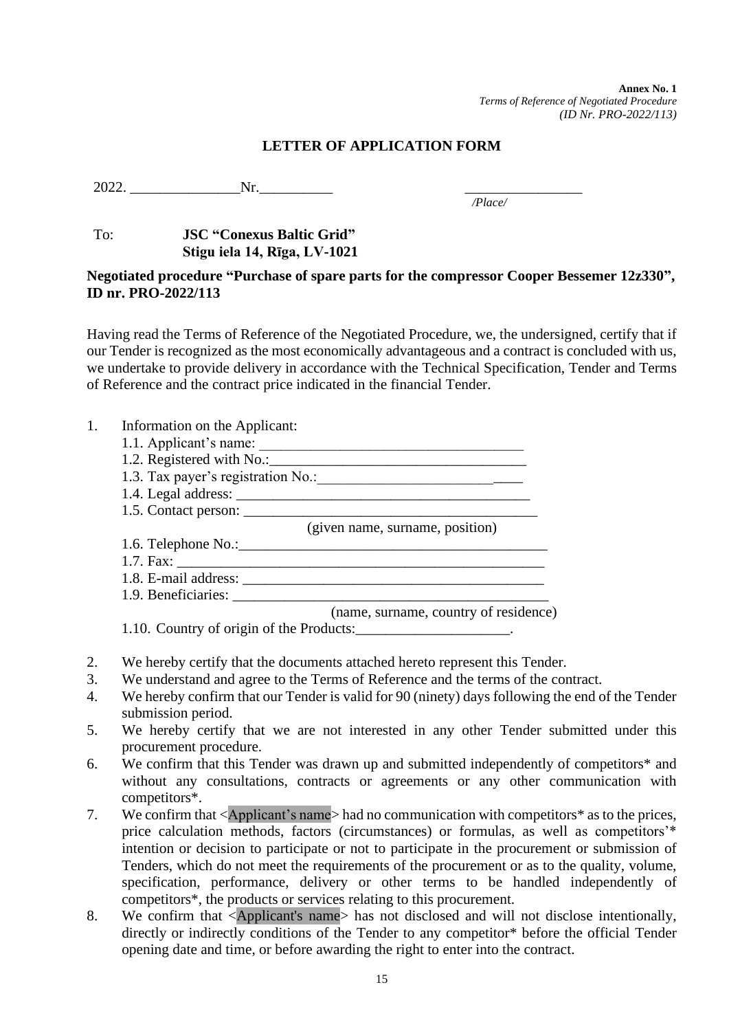**Annex No. 1** *Terms of Reference of Negotiated Procedure (ID Nr. PRO-2022/113)*

#### **LETTER OF APPLICATION FORM**

2022. Nr.

*/Place/*

## To: **JSC "Conexus Baltic Grid" Stigu iela 14, Rīga, LV-1021**

#### **Negotiated procedure "Purchase of spare parts for the compressor Cooper Bessemer 12z330", ID nr. PRO-2022/113**

Having read the Terms of Reference of the Negotiated Procedure, we, the undersigned, certify that if our Tender is recognized as the most economically advantageous and a contract is concluded with us, we undertake to provide delivery in accordance with the Technical Specification, Tender and Terms of Reference and the contract price indicated in the financial Tender.

- 1. Information on the Applicant:
	- 1.1. Applicant's name: \_\_\_\_\_\_\_\_\_\_\_\_\_\_\_\_\_\_\_\_\_\_\_\_\_\_\_\_\_\_\_\_\_\_\_\_
	- 1.2. Registered with No.:
	- 1.3. Tax payer's registration No.:
	- 1.4. Legal address: \_\_\_\_\_\_\_\_\_\_\_\_\_\_\_\_\_\_\_\_\_\_\_\_\_\_\_\_\_\_\_\_\_\_\_\_\_\_\_\_
	- 1.5. Contact person:

(given name, surname, position)

- 1.6. Telephone No.:  $\Box$  $1.7. \text{ Fax:}$
- 
- 1.8. E-mail address: 1.9. Beneficiaries: \_\_\_\_\_\_\_\_\_\_\_\_\_\_\_\_\_\_\_\_\_\_\_\_\_\_\_\_\_\_\_\_\_\_\_\_\_\_\_\_\_\_\_

(name, surname, country of residence)

1.10. Country of origin of the Products:\_\_\_\_\_\_\_\_\_\_\_\_\_\_\_\_\_\_\_\_.

- 2. We hereby certify that the documents attached hereto represent this Tender.
- 3. We understand and agree to the Terms of Reference and the terms of the contract.
- 4. We hereby confirm that our Tender is valid for 90 (ninety) days following the end of the Tender submission period.
- 5. We hereby certify that we are not interested in any other Tender submitted under this procurement procedure.
- 6. We confirm that this Tender was drawn up and submitted independently of competitors\* and without any consultations, contracts or agreements or any other communication with competitors\*.
- 7. We confirm that <Applicant's name> had no communication with competitors\* as to the prices, price calculation methods, factors (circumstances) or formulas, as well as competitors'\* intention or decision to participate or not to participate in the procurement or submission of Tenders, which do not meet the requirements of the procurement or as to the quality, volume, specification, performance, delivery or other terms to be handled independently of competitors\*, the products or services relating to this procurement.
- 8. We confirm that <Applicant's name> has not disclosed and will not disclose intentionally, directly or indirectly conditions of the Tender to any competitor\* before the official Tender opening date and time, or before awarding the right to enter into the contract.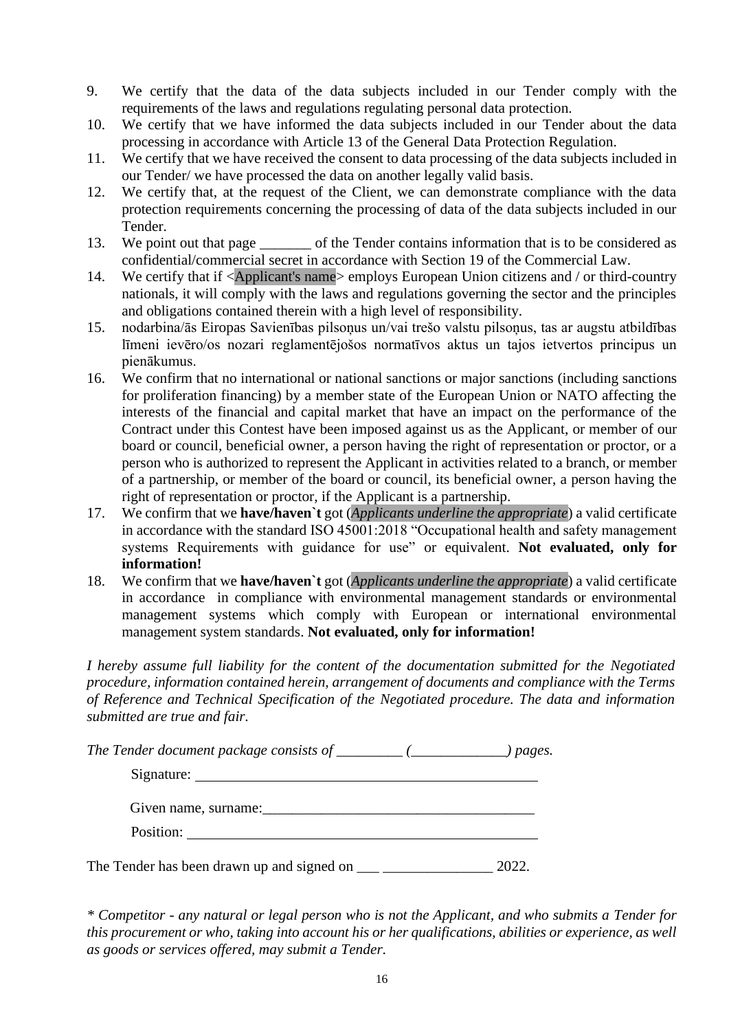- 9. We certify that the data of the data subjects included in our Tender comply with the requirements of the laws and regulations regulating personal data protection.
- 10. We certify that we have informed the data subjects included in our Tender about the data processing in accordance with Article 13 of the General Data Protection Regulation.
- 11. We certify that we have received the consent to data processing of the data subjects included in our Tender/ we have processed the data on another legally valid basis.
- 12. We certify that, at the request of the Client, we can demonstrate compliance with the data protection requirements concerning the processing of data of the data subjects included in our Tender.
- 13. We point out that page \_\_\_\_\_\_\_ of the Tender contains information that is to be considered as confidential/commercial secret in accordance with Section 19 of the Commercial Law.
- 14. We certify that if <Applicant's name> employs European Union citizens and / or third-country nationals, it will comply with the laws and regulations governing the sector and the principles and obligations contained therein with a high level of responsibility.
- 15. nodarbina/ās Eiropas Savienības pilsoņus un/vai trešo valstu pilsoņus, tas ar augstu atbildības līmeni ievēro/os nozari reglamentējošos normatīvos aktus un tajos ietvertos principus un pienākumus.
- 16. We confirm that no international or national sanctions or major sanctions (including sanctions for proliferation financing) by a member state of the European Union or NATO affecting the interests of the financial and capital market that have an impact on the performance of the Contract under this Contest have been imposed against us as the Applicant, or member of our board or council, beneficial owner, a person having the right of representation or proctor, or a person who is authorized to represent the Applicant in activities related to a branch, or member of a partnership, or member of the board or council, its beneficial owner, a person having the right of representation or proctor, if the Applicant is a partnership.
- 17. We confirm that we **have/haven`t** got (*Applicants underline the appropriate*) a valid certificate in accordance with the standard ISO 45001:2018 "Occupational health and safety management systems Requirements with guidance for use" or equivalent. **Not evaluated, only for information!**
- 18. We confirm that we **have/haven`t** got (*Applicants underline the appropriate*) a valid certificate in accordance in compliance with environmental management standards or environmental management systems which comply with European or international environmental management system standards. **Not evaluated, only for information!**

*I hereby assume full liability for the content of the documentation submitted for the Negotiated procedure, information contained herein, arrangement of documents and compliance with the Terms of Reference and Technical Specification of the Negotiated procedure. The data and information submitted are true and fair.*

*The Tender document package consists of \_\_\_\_\_\_\_\_\_ (\_\_\_\_\_\_\_\_\_\_\_\_\_) pages.*

| Signature:           |
|----------------------|
| Given name, surname: |
| Position:            |

The Tender has been drawn up and signed on \_\_\_ \_\_\_\_\_\_\_\_\_\_\_\_\_\_\_ 2022.

*\* Competitor - any natural or legal person who is not the Applicant, and who submits a Tender for this procurement or who, taking into account his or her qualifications, abilities or experience, as well as goods or services offered, may submit a Tender.*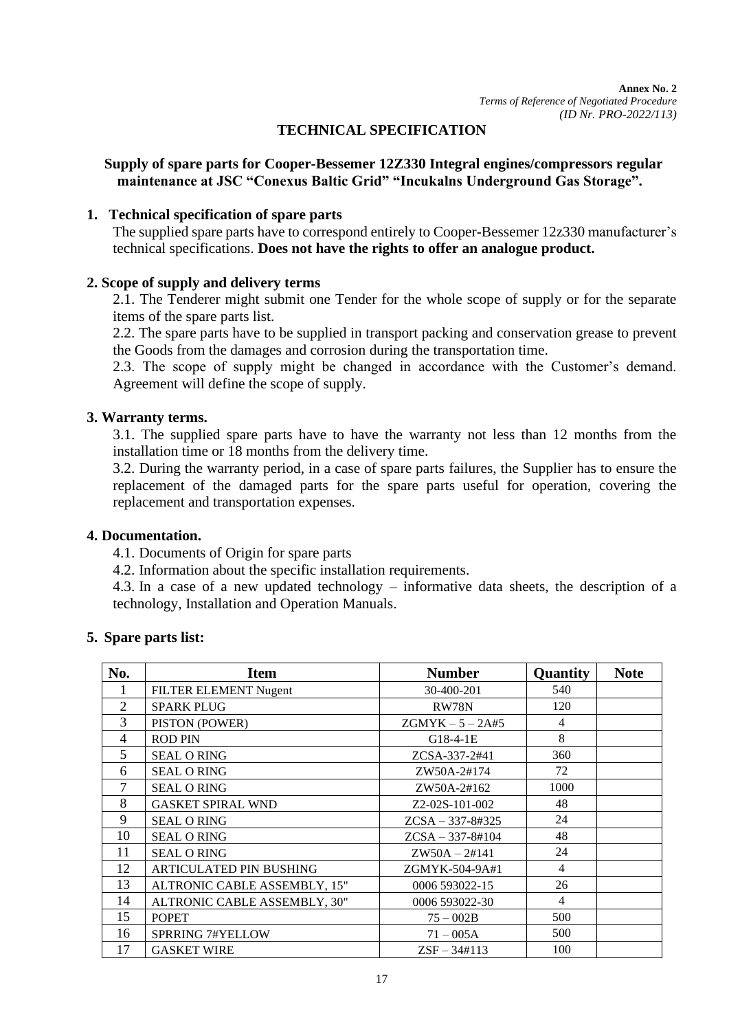## **TECHNICAL SPECIFICATION**

## **Supply of spare parts for Cooper-Bessemer 12Z330 Integral engines/compressors regular maintenance at JSC "Conexus Baltic Grid" "Incukalns Underground Gas Storage".**

## **1. Technical specification of spare parts**

The supplied spare parts have to correspond entirely to Cooper-Bessemer 12z330 manufacturer's technical specifications. **Does not have the rights to offer an analogue product.**

### **2. Scope of supply and delivery terms**

2.1. The Tenderer might submit one Tender for the whole scope of supply or for the separate items of the spare parts list.

2.2. The spare parts have to be supplied in transport packing and conservation grease to prevent the Goods from the damages and corrosion during the transportation time.

2.3. The scope of supply might be changed in accordance with the Customer's demand. Agreement will define the scope of supply.

### **3. Warranty terms.**

3.1. The supplied spare parts have to have the warranty not less than 12 months from the installation time or 18 months from the delivery time.

3.2. During the warranty period, in a case of spare parts failures, the Supplier has to ensure the replacement of the damaged parts for the spare parts useful for operation, covering the replacement and transportation expenses.

#### **4. Documentation.**

4.1. Documents of Origin for spare parts

4.2. Information about the specific installation requirements.

4.3. In a case of a new updated technology – informative data sheets, the description of a technology, Installation and Operation Manuals.

## **5. Spare parts list:**

| No.            | <b>Item</b>                    | <b>Number</b>      | Quantity | <b>Note</b> |
|----------------|--------------------------------|--------------------|----------|-------------|
|                | FILTER ELEMENT Nugent          | 30-400-201         | 540      |             |
| $\overline{2}$ | <b>SPARK PLUG</b>              | RW78N              | 120      |             |
| 3              | PISTON (POWER)                 | $ZGMYK - 5 - 2A#5$ | 4        |             |
| 4              | <b>ROD PIN</b>                 | $G18-4-1E$         | 8        |             |
| 5              | <b>SEAL ORING</b>              | ZCSA-337-2#41      | 360      |             |
| 6              | <b>SEAL O RING</b>             | ZW50A-2#174        | 72       |             |
|                | <b>SEAL ORING</b>              | ZW50A-2#162        | 1000     |             |
| 8              | <b>GASKET SPIRAL WND</b>       | Z2-02S-101-002     | 48       |             |
| 9              | <b>SEAL ORING</b>              | $ZCSA - 337-8#325$ | 24       |             |
| 10             | <b>SEAL ORING</b>              | $ZCSA - 337-8#104$ | 48       |             |
| 11             | <b>SEAL ORING</b>              | $ZW50A - 2#141$    | 24       |             |
| 12             | <b>ARTICULATED PIN BUSHING</b> | ZGMYK-504-9A#1     | 4        |             |
| 13             | ALTRONIC CABLE ASSEMBLY, 15"   | 0006 593022-15     | 26       |             |
| 14             | ALTRONIC CABLE ASSEMBLY, 30"   | 0006 593022-30     | 4        |             |
| 15             | <b>POPET</b>                   | $75 - 002B$        | 500      |             |
| 16             | <b>SPRRING 7#YELLOW</b>        | $71 - 005A$        | 500      |             |
| 17             | <b>GASKET WIRE</b>             | $ZSF - 34#113$     | 100      |             |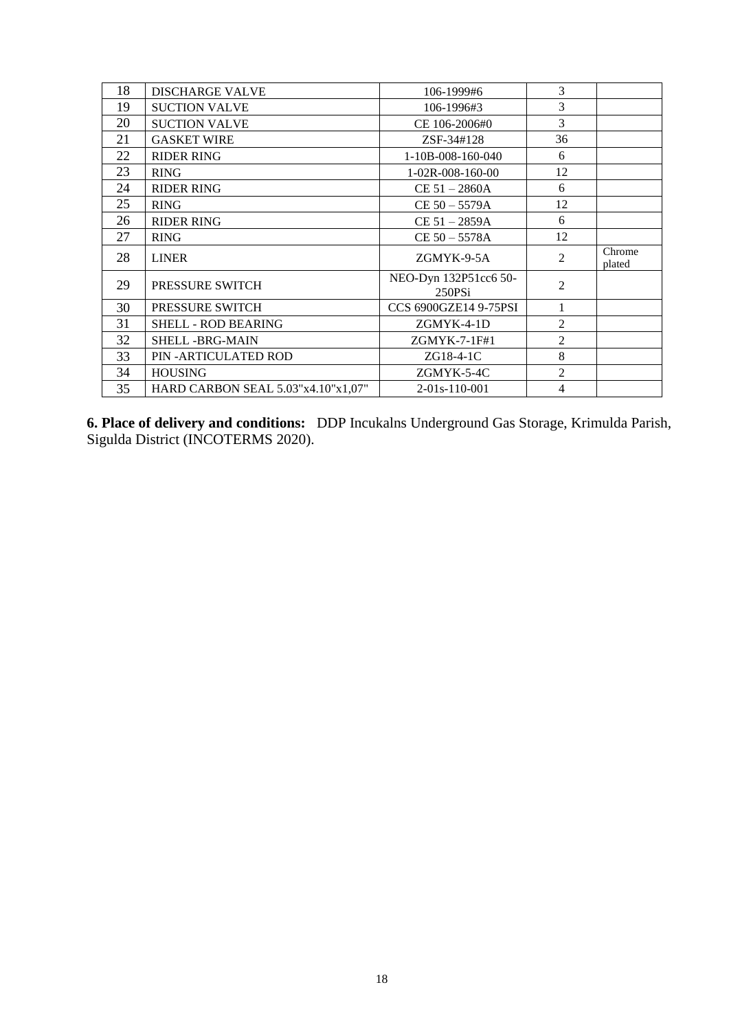| 18 | <b>DISCHARGE VALVE</b>             | 106-1999#6                      | 3              |                  |
|----|------------------------------------|---------------------------------|----------------|------------------|
| 19 | <b>SUCTION VALVE</b>               | 106-1996#3                      | 3              |                  |
| 20 | <b>SUCTION VALVE</b>               | CE 106-2006#0                   | $\overline{3}$ |                  |
| 21 | <b>GASKET WIRE</b>                 | ZSF-34#128                      | 36             |                  |
| 22 | <b>RIDER RING</b>                  | $1-10B-008-160-040$             | 6              |                  |
| 23 | <b>RING</b>                        | $1-02R-008-160-00$              | 12             |                  |
| 24 | <b>RIDER RING</b>                  | $CE 51 - 2860A$                 | 6              |                  |
| 25 | <b>RING</b>                        | $CE 50 - 5579A$                 | 12             |                  |
| 26 | <b>RIDER RING</b>                  | $CE 51 - 2859A$                 | 6              |                  |
| 27 | <b>RING</b>                        | $CE 50 - 5578A$                 | 12             |                  |
| 28 | <b>LINER</b>                       | ZGMYK-9-5A                      | $\overline{2}$ | Chrome<br>plated |
| 29 | <b>PRESSURE SWITCH</b>             | NEO-Dyn 132P51cc6 50-<br>250PSi | $\overline{2}$ |                  |
| 30 | PRESSURE SWITCH                    | CCS 6900GZE14 9-75PSI           | 1              |                  |
| 31 | <b>SHELL - ROD BEARING</b>         | $ZGMYK-4-1D$                    | $\overline{2}$ |                  |
| 32 | <b>SHELL -BRG-MAIN</b>             | ZGMYK-7-1F#1                    | $\overline{2}$ |                  |
| 33 | PIN - ARTICULATED ROD              | $ZG18-4-1C$                     | 8              |                  |
| 34 | <b>HOUSING</b>                     | ZGMYK-5-4C                      | $\overline{2}$ |                  |
| 35 | HARD CARBON SEAL 5.03"x4.10"x1,07" | $2-01s-110-001$                 | 4              |                  |

**6. Place of delivery and conditions:** DDP Incukalns Underground Gas Storage, Krimulda Parish, Sigulda District (INCOTERMS 2020).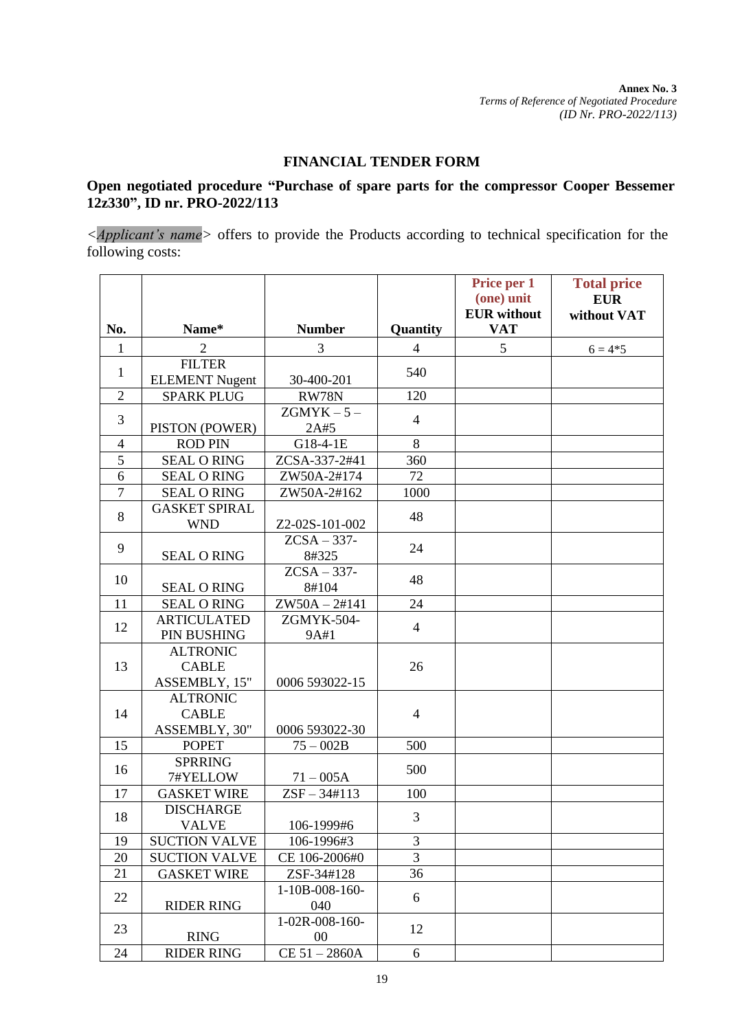**Annex No. 3** *Terms of Reference of Negotiated Procedure (ID Nr. PRO-2022/113)*

#### **FINANCIAL TENDER FORM**

## **Open negotiated procedure "Purchase of spare parts for the compressor Cooper Bessemer 12z330", ID nr. PRO-2022/113**

*<Applicant's name>* offers to provide the Products according to technical specification for the following costs:

|                |                                                  |                          |                | Price per 1<br>(one) unit        | <b>Total price</b><br><b>EUR</b> |
|----------------|--------------------------------------------------|--------------------------|----------------|----------------------------------|----------------------------------|
| No.            | Name*                                            | <b>Number</b>            | Quantity       | <b>EUR</b> without<br><b>VAT</b> | without VAT                      |
| 1              | $\overline{2}$                                   | 3                        | $\overline{4}$ | 5                                | $6 = 4*5$                        |
| $\mathbf{1}$   | <b>FILTER</b><br><b>ELEMENT</b> Nugent           | 30-400-201               | 540            |                                  |                                  |
| $\overline{2}$ | <b>SPARK PLUG</b>                                | RW78N                    | 120            |                                  |                                  |
| 3              | PISTON (POWER)                                   | $ZGMYK - 5 -$<br>2A#5    | $\overline{4}$ |                                  |                                  |
| $\overline{4}$ | <b>ROD PIN</b>                                   | G18-4-1E                 | 8              |                                  |                                  |
| $\overline{5}$ | <b>SEAL ORING</b>                                | ZCSA-337-2#41            | 360            |                                  |                                  |
| 6              | <b>SEAL ORING</b>                                | ZW50A-2#174              | 72             |                                  |                                  |
| $\tau$         | <b>SEAL ORING</b>                                | ZW50A-2#162              | 1000           |                                  |                                  |
| 8              | <b>GASKET SPIRAL</b><br><b>WND</b>               | Z2-02S-101-002           | 48             |                                  |                                  |
| 9              | <b>SEAL ORING</b>                                | $ZCSA - 337-$<br>8#325   | 24             |                                  |                                  |
| 10             | <b>SEAL ORING</b>                                | $ZCSA - 337-$<br>8#104   | 48             |                                  |                                  |
| 11             | <b>SEAL ORING</b>                                | $ZW50A - 2#141$          | 24             |                                  |                                  |
| 12             | <b>ARTICULATED</b><br>PIN BUSHING                | ZGMYK-504-<br>9A#1       | $\overline{4}$ |                                  |                                  |
| 13             | <b>ALTRONIC</b><br><b>CABLE</b><br>ASSEMBLY, 15" | 0006 593022-15           | 26             |                                  |                                  |
| 14             | <b>ALTRONIC</b><br><b>CABLE</b><br>ASSEMBLY, 30" | 0006 593022-30           | $\overline{4}$ |                                  |                                  |
| 15             | <b>POPET</b>                                     | $75 - 002B$              | 500            |                                  |                                  |
| 16             | <b>SPRRING</b><br>7#YELLOW                       | $71 - 005A$              | 500            |                                  |                                  |
| 17             | <b>GASKET WIRE</b>                               | $ZSF - 34#113$           | 100            |                                  |                                  |
| 18             | <b>DISCHARGE</b><br>VALVE                        | 106-1999#6               | 3              |                                  |                                  |
| 19             | <b>SUCTION VALVE</b>                             | 106-1996#3               | 3              |                                  |                                  |
| 20             | <b>SUCTION VALVE</b>                             | CE 106-2006#0            | $\overline{3}$ |                                  |                                  |
| 21             | <b>GASKET WIRE</b>                               | ZSF-34#128               | 36             |                                  |                                  |
| 22             | <b>RIDER RING</b>                                | $1-10B-008-160-$<br>040  | 6              |                                  |                                  |
| 23             | <b>RING</b>                                      | 1-02R-008-160-<br>$00\,$ | 12             |                                  |                                  |
| 24             | <b>RIDER RING</b>                                | CE 51 - 2860A            | 6              |                                  |                                  |